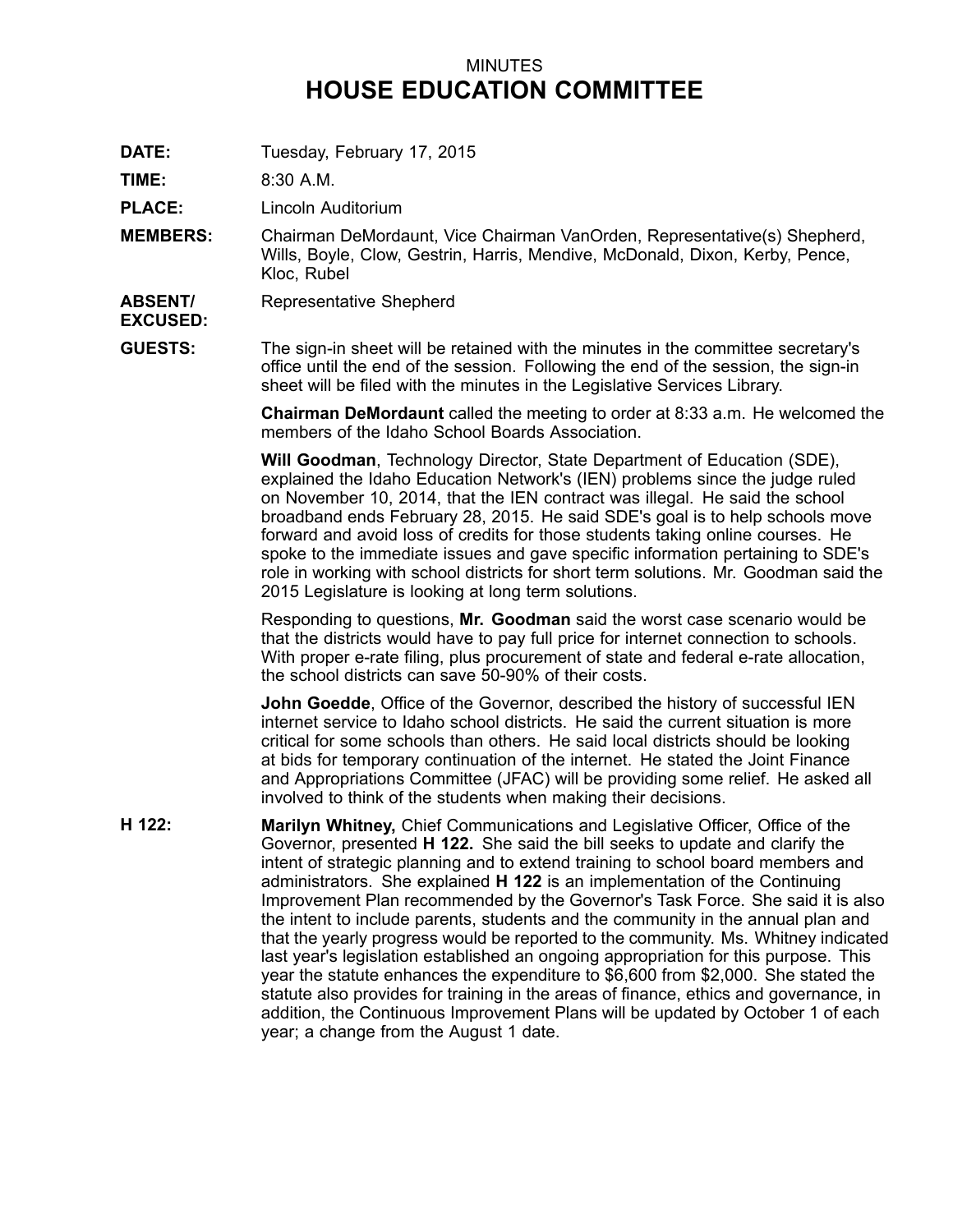## MINUTES **HOUSE EDUCATION COMMITTEE**

**DATE:** Tuesday, February 17, 2015

**TIME:** 8:30 A.M.

**PLACE:** Lincoln Auditorium

- **MEMBERS:** Chairman DeMordaunt, Vice Chairman VanOrden, Representative(s) Shepherd, Wills, Boyle, Clow, Gestrin, Harris, Mendive, McDonald, Dixon, Kerby, Pence, Kloc, Rubel
- **ABSENT/** Representative Shepherd

## **EXCUSED:**

**GUESTS:** The sign-in sheet will be retained with the minutes in the committee secretary's office until the end of the session. Following the end of the session, the sign-in sheet will be filed with the minutes in the Legislative Services Library.

> **Chairman DeMordaunt** called the meeting to order at 8:33 a.m. He welcomed the members of the Idaho School Boards Association.

> **Will Goodman**, Technology Director, State Department of Education (SDE), explained the Idaho Education Network's (IEN) problems since the judge ruled on November 10, 2014, that the IEN contract was illegal. He said the school broadband ends February 28, 2015. He said SDE's goal is to help schools move forward and avoid loss of credits for those students taking online courses. He spoke to the immediate issues and gave specific information pertaining to SDE's role in working with school districts for short term solutions. Mr. Goodman said the 2015 Legislature is looking at long term solutions.

Responding to questions, **Mr. Goodman** said the worst case scenario would be that the districts would have to pay full price for internet connection to schools. With proper e-rate filing, plus procurement of state and federal e-rate allocation, the school districts can save 50-90% of their costs.

**John Goedde**, Office of the Governor, described the history of successful IEN internet service to Idaho school districts. He said the current situation is more critical for some schools than others. He said local districts should be looking at bids for temporary continuation of the internet. He stated the Joint Finance and Appropriations Committee (JFAC) will be providing some relief. He asked all involved to think of the students when making their decisions.

**H 122: Marilyn Whitney,** Chief Communications and Legislative Officer, Office of the Governor, presented **H 122.** She said the bill seeks to update and clarify the intent of strategic planning and to extend training to school board members and administrators. She explained **H 122** is an implementation of the Continuing Improvement Plan recommended by the Governor's Task Force. She said it is also the intent to include parents, students and the community in the annual plan and that the yearly progress would be reported to the community. Ms. Whitney indicated last year's legislation established an ongoing appropriation for this purpose. This year the statute enhances the expenditure to \$6,600 from \$2,000. She stated the statute also provides for training in the areas of finance, ethics and governance, in addition, the Continuous Improvement Plans will be updated by October 1 of each year; <sup>a</sup> change from the August 1 date.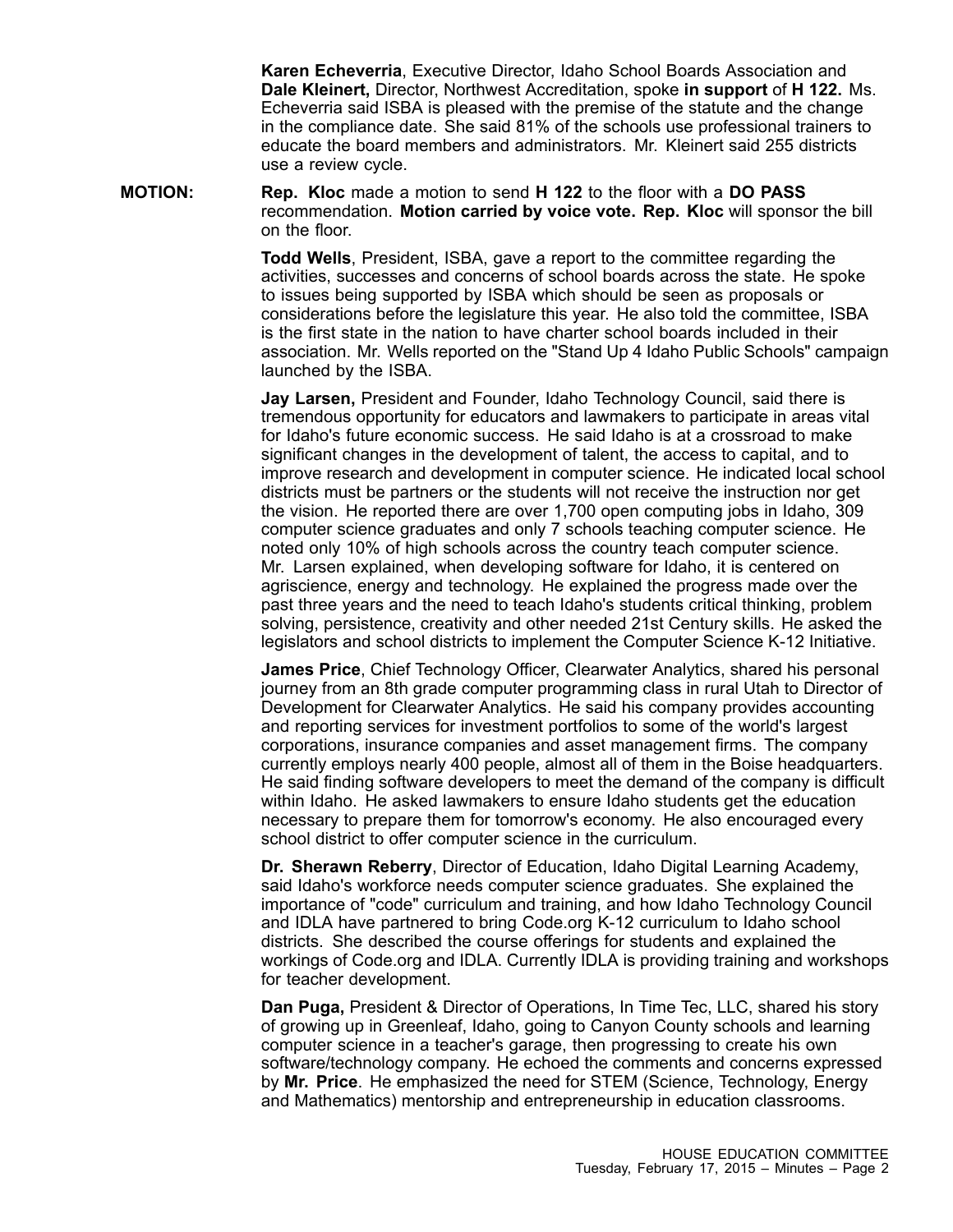**Karen Echeverria**, Executive Director, Idaho School Boards Association and **Dale Kleinert,** Director, Northwest Accreditation, spoke **in support** of **H 122.** Ms. Echeverria said ISBA is pleased with the premise of the statute and the change in the compliance date. She said 81% of the schools use professional trainers to educate the board members and administrators. Mr. Kleinert said 255 districts use <sup>a</sup> review cycle.

**MOTION: Rep. Kloc** made <sup>a</sup> motion to send **H 122** to the floor with <sup>a</sup> **DO PASS** recommendation. **Motion carried by voice vote. Rep. Kloc** will sponsor the bill on the floor.

> **Todd Wells**, President, ISBA, gave <sup>a</sup> report to the committee regarding the activities, successes and concerns of school boards across the state. He spoke to issues being supported by ISBA which should be seen as proposals or considerations before the legislature this year. He also told the committee, ISBA is the first state in the nation to have charter school boards included in their association. Mr. Wells reported on the "Stand Up 4 Idaho Public Schools" campaign launched by the ISBA.

> **Jay Larsen,** President and Founder, Idaho Technology Council, said there is tremendous opportunity for educators and lawmakers to participate in areas vital for Idaho's future economic success. He said Idaho is at a crossroad to make significant changes in the development of talent, the access to capital, and to improve research and development in computer science. He indicated local school districts must be partners or the students will not receive the instruction nor get the vision. He reported there are over 1,700 open computing jobs in Idaho, 309 computer science graduates and only 7 schools teaching computer science. He noted only 10% of high schools across the country teach computer science. Mr. Larsen explained, when developing software for Idaho, it is centered on agriscience, energy and technology. He explained the progress made over the past three years and the need to teach Idaho's students critical thinking, problem solving, persistence, creativity and other needed 21st Century skills. He asked the legislators and school districts to implement the Computer Science K-12 Initiative.

> **James Price**, Chief Technology Officer, Clearwater Analytics, shared his personal journey from an 8th grade computer programming class in rural Utah to Director of Development for Clearwater Analytics. He said his company provides accounting and reporting services for investment portfolios to some of the world's largest corporations, insurance companies and asset management firms. The company currently employs nearly 400 people, almost all of them in the Boise headquarters. He said finding software developers to meet the demand of the company is difficult within Idaho. He asked lawmakers to ensure Idaho students get the education necessary to prepare them for tomorrow's economy. He also encouraged every school district to offer computer science in the curriculum.

> **Dr. Sherawn Reberry**, Director of Education, Idaho Digital Learning Academy, said Idaho's workforce needs computer science graduates. She explained the importance of "code" curriculum and training, and how Idaho Technology Council and IDLA have partnered to bring Code.org K-12 curriculum to Idaho school districts. She described the course offerings for students and explained the workings of Code.org and IDLA. Currently IDLA is providing training and workshops for teacher development.

**Dan Puga,** President & Director of Operations, In Time Tec, LLC, shared his story of growing up in Greenleaf, Idaho, going to Canyon County schools and learning computer science in <sup>a</sup> teacher's garage, then progressing to create his own software/technology company. He echoed the comments and concerns expressed by **Mr. Price**. He emphasized the need for STEM (Science, Technology, Energy and Mathematics) mentorship and entrepreneurship in education classrooms.